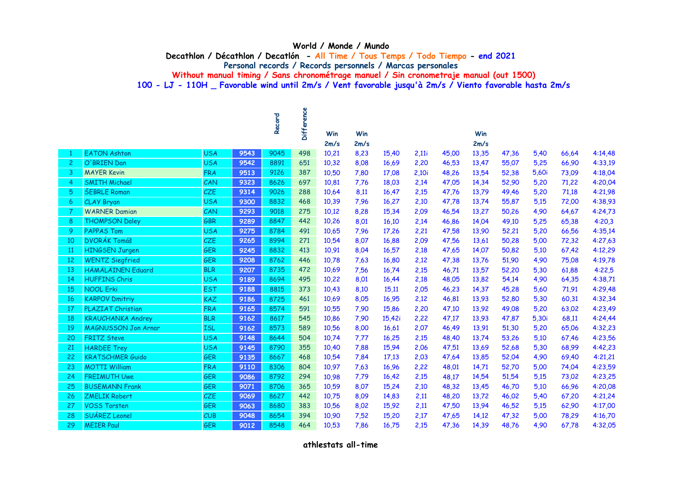## **World / Monde / Mundo**

**Decathlon / Décathlon / Decatlón - All Time / Tous Temps / Todo Tiempo - end 2021**

**Personal records / Records personnels / Marcas personales**

**Without manual timing / Sans chronométrage manuel / Sin cronometraje manual (out 1500)**

**100 - LJ - 110H \_ Favorable wind until 2m/s / Vent favorable jusqu'à 2m/s / Viento favorable hasta 2m/s**

|              |                            |            |      | Record | Difference | Win   | Win  |        |       |       | Win   |       |       |       |         |
|--------------|----------------------------|------------|------|--------|------------|-------|------|--------|-------|-------|-------|-------|-------|-------|---------|
|              |                            |            |      |        |            | 2m/s  | 2m/s |        |       |       | 2m/s  |       |       |       |         |
| $\mathbf{1}$ | <b>EATON Ashton</b>        | <b>USA</b> | 9543 | 9045   | 498        | 10,21 | 8,23 | 15,40  | 2,11i | 45,00 | 13,35 | 47,36 | 5,40  | 66,64 | 4:14,48 |
| $\mathbf{2}$ | O'BRIEN Dan                | <b>USA</b> | 9542 | 8891   | 651        | 10,32 | 8,08 | 16,69  | 2,20  | 46,53 | 13,47 | 55,07 | 5,25  | 66,90 | 4:33,19 |
| 3            | <b>MAYER Kevin</b>         | <b>FRA</b> | 9513 | 9126   | 387        | 10,50 | 7,80 | 17,08  | 2,10i | 48,26 | 13,54 | 52,38 | 5,60i | 73,09 | 4:18,04 |
| 4            | <b>SMITH Michael</b>       | CAN        | 9323 | 8626   | 697        | 10,81 | 7,76 | 18,03  | 2,14  | 47,05 | 14,34 | 52,90 | 5,20  | 71,22 | 4:20,04 |
| 5            | <b>ŠEBRLE Roman</b>        | CZE        | 9314 | 9026   | 288        | 10,64 | 8,11 | 16,47  | 2,15  | 47,76 | 13,79 | 49,46 | 5,20  | 71,18 | 4:21,98 |
| 6            | CLAY Bryan                 | <b>USA</b> | 9300 | 8832   | 468        | 10,39 | 7,96 | 16,27  | 2,10  | 47,78 | 13,74 | 55,87 | 5,15  | 72,00 | 4:38,93 |
| 7            | <b>WARNER Damian</b>       | CAN        | 9293 | 9018   | 275        | 10,12 | 8,28 | 15,34  | 2,09  | 46,54 | 13,27 | 50,26 | 4,90  | 64,67 | 4:24,73 |
| 8            | <b>THOMPSON Daley</b>      | <b>GBR</b> | 9289 | 8847   | 442        | 10,26 | 8,01 | 16,10  | 2,14  | 46,86 | 14,04 | 49,10 | 5,25  | 65,38 | 4:20,3  |
| 9            | <b>PAPPAS Tom</b>          | <b>USA</b> | 9275 | 8784   | 491        | 10,65 | 7,96 | 17,26  | 2,21  | 47,58 | 13,90 | 52,21 | 5,20  | 66,56 | 4:35,14 |
| 10           | DVORÁK Tomáš               | CZE        | 9265 | 8994   | 271        | 10,54 | 8,07 | 16,88  | 2,09  | 47,56 | 13,61 | 50,28 | 5,00  | 72,32 | 4:27,63 |
| 11           | <b>HINGSEN Jurgen</b>      | <b>GER</b> | 9245 | 8832   | 413        | 10,91 | 8,04 | 16,57  | 2,18  | 47,65 | 14,07 | 50,82 | 5,10  | 67,42 | 4:12,29 |
| 12           | <b>WENTZ Siegfried</b>     | <b>GER</b> | 9208 | 8762   | 446        | 10,78 | 7,63 | 16,80  | 2,12  | 47,38 | 13,76 | 51,90 | 4,90  | 75,08 | 4:19,78 |
| 13           | <b>HÄMÄLÄINEN Eduard</b>   | <b>BLR</b> | 9207 | 8735   | 472        | 10,69 | 7,56 | 16,74  | 2,15  | 46,71 | 13,57 | 52,20 | 5,30  | 61,88 | 4:22,5  |
| 14           | <b>HUFFINS Chris</b>       | <b>USA</b> | 9189 | 8694   | 495        | 10,22 | 8,01 | 16,44  | 2,18  | 48,05 | 13,82 | 54,14 | 4,90  | 64,35 | 4:38,71 |
| 15           | <b>NOOL Erki</b>           | <b>EST</b> | 9188 | 8815   | 373        | 10,43 | 8,10 | 15,11  | 2,05  | 46,23 | 14,37 | 45,28 | 5,60  | 71,91 | 4:29,48 |
| 16           | <b>KARPOV Dmitriy</b>      | <b>KAZ</b> | 9186 | 8725   | 461        | 10,69 | 8,05 | 16,95  | 2,12  | 46,81 | 13,93 | 52,80 | 5,30  | 60,31 | 4:32,34 |
| 17           | <b>PLAZIAT Christian</b>   | <b>FRA</b> | 9165 | 8574   | 591        | 10,55 | 7,90 | 15,86  | 2,20  | 47,10 | 13,92 | 49,08 | 5,20  | 63,02 | 4:23,49 |
| 18           | <b>KRAUCHANKA Andrey</b>   | <b>BLR</b> | 9162 | 8617   | 545        | 10,86 | 7,90 | 15,42i | 2,22  | 47,17 | 13,93 | 47,87 | 5,30i | 68,11 | 4:24,44 |
| 19           | <b>MAGNUSSON Jon Arnar</b> | <b>ISL</b> | 9162 | 8573   | 589        | 10,56 | 8,00 | 16,61  | 2,07  | 46,49 | 13,91 | 51,30 | 5,20  | 65,06 | 4:32,23 |
| 20           | <b>FRITZ Steve</b>         | <b>USA</b> | 9148 | 8644   | 504        | 10,74 | 7,77 | 16,25  | 2,15  | 48,40 | 13,74 | 53,26 | 5,10  | 67,46 | 4:23,56 |
| 21           | <b>HARDEE Trey</b>         | <b>USA</b> | 9145 | 8790   | 355        | 10,40 | 7,88 | 15,94  | 2,06  | 47,51 | 13,69 | 52,68 | 5,30  | 68,99 | 4:42,23 |
| 22           | <b>KRATSCHMER Guido</b>    | <b>GER</b> | 9135 | 8667   | 468        | 10,54 | 7,84 | 17,13  | 2,03  | 47,64 | 13,85 | 52,04 | 4,90  | 69,40 | 4:21,21 |
| 23           | <b>MOTTI William</b>       | <b>FRA</b> | 9110 | 8306   | 804        | 10,97 | 7,63 | 16,96  | 2,22  | 48,01 | 14,71 | 52,70 | 5,00  | 74,04 | 4:23,59 |
| 24           | <b>FREIMUTH Uwe</b>        | <b>GER</b> | 9086 | 8792   | 294        | 10,98 | 7,79 | 16,42  | 2,15  | 48,17 | 14,54 | 51,54 | 5,15  | 73,02 | 4:23,25 |
| 25           | <b>BUSEMANN Frank</b>      | GER        | 9071 | 8706   | 365        | 10,59 | 8,07 | 15,24  | 2,10  | 48,32 | 13,45 | 46,70 | 5,10  | 66,96 | 4:20,08 |
| 26           | <b>ZMELIK Robert</b>       | <b>CZE</b> | 9069 | 8627   | 442        | 10,75 | 8,09 | 14,83  | 2,11  | 48,20 | 13,72 | 46,02 | 5,40  | 67,20 | 4:21,24 |
| 27           | <b>VOSS Torsten</b>        | <b>GER</b> | 9063 | 8680   | 383        | 10,56 | 8,02 | 15,92  | 2,11  | 47,50 | 13,94 | 46,52 | 5,15  | 62,90 | 4:17,00 |
| 28           | SUÁREZ Leonel              | CUB        | 9048 | 8654   | 394        | 10,90 | 7,52 | 15,20  | 2,17  | 47,65 | 14,12 | 47,32 | 5,00  | 78,29 | 4:16,70 |
| 29           | <b>MEIER Paul</b>          | GER        | 9012 | 8548   | 464        | 10,53 | 7,86 | 16,75  | 2,15  | 47,36 | 14,39 | 48,76 | 4,90  | 67,78 | 4:32,05 |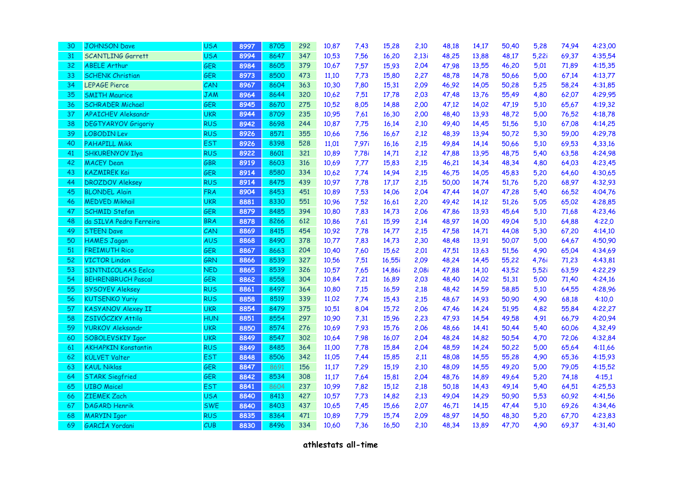| 30 | <b>JOHNSON Dave</b>        | <b>USA</b> | 8997 | 8705 | 292 | 10,87 | 7,43  | 15,28  | 2,10  | 48,18 | 14,17 | 50,40 | 5,28  | 74,94 | 4:23,00 |
|----|----------------------------|------------|------|------|-----|-------|-------|--------|-------|-------|-------|-------|-------|-------|---------|
| 31 | <b>SCANTLING Garrett</b>   | <b>USA</b> | 8994 | 8647 | 347 | 10,53 | 7,56  | 16,20  | 2,13i | 48,25 | 13,88 | 48,17 | 5,22i | 69,37 | 4:35,54 |
| 32 | <b>ABELE Arthur</b>        | GER        | 8984 | 8605 | 379 | 10,67 | 7,57  | 15,93  | 2,04  | 47,98 | 13,55 | 46,20 | 5,01  | 71,89 | 4:15,35 |
| 33 | <b>SCHENK Christian</b>    | GER        | 8973 | 8500 | 473 | 11,10 | 7,73  | 15,80  | 2,27  | 48,78 | 14,78 | 50,66 | 5,00  | 67,14 | 4:13,77 |
| 34 | <b>LEPAGE Pierce</b>       | CAN        | 8967 | 8604 | 363 | 10,30 | 7,80  | 15,31  | 2,09  | 46,92 | 14,05 | 50,28 | 5,25  | 58,24 | 4:31,85 |
| 35 | <b>SMITH Maurice</b>       | <b>JAM</b> | 8964 | 8644 | 320 | 10,62 | 7,51  | 17,78  | 2,03  | 47,48 | 13,76 | 55,49 | 4,80  | 62,07 | 4:29,95 |
| 36 | <b>SCHRADER Michael</b>    | <b>GER</b> | 8945 | 8670 | 275 | 10,52 | 8,05  | 14,88  | 2,00  | 47,12 | 14,02 | 47,19 | 5,10  | 65,67 | 4:19,32 |
| 37 | <b>APAICHEV Aleksandr</b>  | <b>UKR</b> | 8944 | 8709 | 235 | 10,95 | 7,61  | 16,30  | 2,00  | 48,40 | 13,93 | 48,72 | 5,00  | 76,52 | 4:18,78 |
| 38 | <b>DEGTYARYOV Grigoriy</b> | <b>RUS</b> | 8942 | 8698 | 244 | 10,87 | 7,75  | 16,14  | 2,10  | 49,40 | 14,45 | 51,56 | 5,10  | 67,08 | 4:14,25 |
| 39 | <b>LOBODIN Lev</b>         | <b>RUS</b> | 8926 | 8571 | 355 | 10,66 | 7,56  | 16,67  | 2,12  | 48,39 | 13,94 | 50,72 | 5,30  | 59,00 | 4:29,78 |
| 40 | <b>PAHAPILL Mikk</b>       | <b>EST</b> | 8926 | 8398 | 528 | 11,01 | 7,97i | 16,16  | 2,15  | 49,84 | 14,14 | 50,66 | 5,10  | 69,53 | 4,33,16 |
| 41 | <b>SHKURENYOV Ilya</b>     | <b>RUS</b> | 8922 | 8601 | 321 | 10,89 | 7,78i | 14,71  | 2,12  | 47,88 | 13,95 | 48,75 | 5,40  | 63,58 | 4:24,98 |
| 42 | <b>MACEY Dean</b>          | GBR        | 8919 | 8603 | 316 | 10,69 | 7,77  | 15,83  | 2,15  | 46,21 | 14,34 | 48,34 | 4,80  | 64,03 | 4:23,45 |
| 43 | <b>KAZMIREK Kai</b>        | GER        | 8914 | 8580 | 334 | 10,62 | 7,74  | 14,94  | 2,15  | 46,75 | 14,05 | 45,83 | 5,20  | 64,60 | 4:30,65 |
| 44 | <b>DROZDOV Aleksey</b>     | <b>RUS</b> | 8914 | 8475 | 439 | 10,97 | 7,78  | 17,17  | 2,15  | 50,00 | 14,74 | 51,76 | 5,20  | 68,97 | 4:32,93 |
| 45 | <b>BLONDEL Alain</b>       | <b>FRA</b> | 8904 | 8453 | 451 | 10,89 | 7,53  | 14,06  | 2,04  | 47,44 | 14,07 | 47,28 | 5,40  | 66,52 | 4:04,76 |
| 46 | <b>MEDVED Mikhail</b>      | <b>UKR</b> | 8881 | 8330 | 551 | 10,96 | 7,52  | 16,61  | 2,20  | 49,42 | 14,12 | 51,26 | 5,05  | 65,02 | 4:28,85 |
| 47 | <b>SCHMID Stefan</b>       | <b>GER</b> | 8879 | 8485 | 394 | 10,80 | 7,83  | 14,73  | 2,06  | 47,86 | 13,93 | 45,64 | 5,10  | 71,68 | 4:23,46 |
| 48 | da SILVA Pedro Ferreira    | <b>BRA</b> | 8878 | 8266 | 612 | 10,86 | 7,61  | 15,99  | 2,14  | 48,97 | 14,00 | 49,04 | 5,10  | 64,88 | 4:22,0  |
| 49 | <b>STEEN Dave</b>          | CAN        | 8869 | 8415 | 454 | 10,92 | 7,78  | 14,77  | 2,15  | 47,58 | 14,71 | 44,08 | 5,30  | 67,20 | 4:14,10 |
| 50 | <b>HAMES Jagan</b>         | <b>AUS</b> | 8868 | 8490 | 378 | 10,77 | 7,83  | 14,73  | 2,30  | 48,48 | 13,91 | 50,07 | 5,00  | 64,67 | 4:50,90 |
| 51 | <b>FREIMUTH Rico</b>       | GER        | 8867 | 8663 | 204 | 10,40 | 7,60  | 15,62  | 2,01  | 47,51 | 13,63 | 51,56 | 4,90  | 65,04 | 4:34,69 |
| 52 | <b>VICTOR Lindon</b>       | GRN        | 8866 | 8539 | 327 | 10,56 | 7,51  | 16,55i | 2,09  | 48,24 | 14,45 | 55,22 | 4,76i | 71,23 | 4:43,81 |
| 53 | SINTNICOLAAS Eelco         | <b>NED</b> | 8865 | 8539 | 326 | 10,57 | 7,65  | 14,86i | 2,08i | 47,88 | 14,10 | 43,52 | 5,52i | 63,59 | 4:22,29 |
| 54 | <b>BEHRENBRUCH Pascal</b>  | <b>GER</b> | 8862 | 8558 | 304 | 10,84 | 7,21  | 16,89  | 2,03  | 48,40 | 14,02 | 51,31 | 5,00  | 71,40 | 4:24,16 |
| 55 | <b>SYSOYEV Aleksey</b>     | <b>RUS</b> | 8861 | 8497 | 364 | 10,80 | 7,15  | 16,59  | 2,18  | 48,42 | 14,59 | 58,85 | 5,10  | 64,55 | 4:28,96 |
| 56 | <b>KUTSENKO Yuriy</b>      | <b>RUS</b> | 8858 | 8519 | 339 | 11,02 | 7,74  | 15,43  | 2,15  | 48,67 | 14,93 | 50,90 | 4,90  | 68,18 | 4:10,0  |
| 57 | <b>KASYANOV Alexey II</b>  | <b>UKR</b> | 8854 | 8479 | 375 | 10,51 | 8,04  | 15,72  | 2,06  | 47,46 | 14,24 | 51,95 | 4,82  | 55,84 | 4:22,27 |
| 58 | ZSIVÓCZKY Attila           | <b>HUN</b> | 8851 | 8554 | 297 | 10,90 | 7,31  | 15,96  | 2,23  | 47,93 | 14,54 | 49,58 | 4,91  | 66,79 | 4:20,94 |
| 59 | <b>YURKOV Aleksandr</b>    | <b>UKR</b> | 8850 | 8574 | 276 | 10,69 | 7,93  | 15,76  | 2,06  | 48,66 | 14,41 | 50,44 | 5,40  | 60,06 | 4,32,49 |
| 60 | SOBOLEVSKIY Igor           | <b>UKR</b> | 8849 | 8547 | 302 | 10,64 | 7,98  | 16,07  | 2,04  | 48,24 | 14,82 | 50,54 | 4,70  | 72,06 | 4:32,84 |
| 61 | <b>AKHAPKIN Konstantin</b> | <b>RUS</b> | 8849 | 8485 | 364 | 11,00 | 7,78  | 15,84  | 2,04  | 48,59 | 14,24 | 50,22 | 5,00  | 65,64 | 4:11,66 |
| 62 | <b>KÜLVET Valter</b>       | <b>EST</b> | 8848 | 8506 | 342 | 11,05 | 7,44  | 15,85  | 2,11  | 48,08 | 14,55 | 55,28 | 4,90  | 65,36 | 4:15,93 |
| 63 | <b>KAUL Niklas</b>         | GER        | 8847 | 8691 | 156 | 11,17 | 7,29  | 15,19  | 2,10  | 48,09 | 14,55 | 49,20 | 5,00  | 79,05 | 4:15,52 |
| 64 | <b>STARK Siegfried</b>     | GER        | 8842 | 8534 | 308 | 11,17 | 7,64  | 15,81  | 2,04  | 48,76 | 14,89 | 49,64 | 5,20  | 74,18 | 4:15,1  |
| 65 | <b>UIBO Maicel</b>         | <b>EST</b> | 8841 | 8604 | 237 | 10,99 | 7,82  | 15,12  | 2,18  | 50,18 | 14,43 | 49,14 | 5,40  | 64,51 | 4:25,53 |
| 66 | ZIEMEK Zach                | <b>USA</b> | 8840 | 8413 | 427 | 10,57 | 7,73  | 14,82  | 2,13  | 49,04 | 14,29 | 50,90 | 5,53  | 60,92 | 4:41,56 |
| 67 | <b>DAGARD Henrik</b>       | <b>SWE</b> | 8840 | 8403 | 437 | 10,65 | 7,45  | 15,66  | 2,07  | 46,71 | 14,15 | 47,44 | 5,10  | 69,26 | 4:34,46 |
| 68 | <b>MARYIN Igor</b>         | <b>RUS</b> | 8835 | 8364 | 471 | 10,89 | 7,79  | 15,74  | 2,09  | 48,97 | 14,50 | 48,30 | 5,20  | 67,70 | 4:23,83 |
| 69 | GARCÍA Yordani             | CUB        | 8830 | 8496 | 334 | 10,60 | 7,36  | 16,50  | 2,10  | 48,34 | 13,89 | 47,70 | 4,90  | 69,37 | 4:31,40 |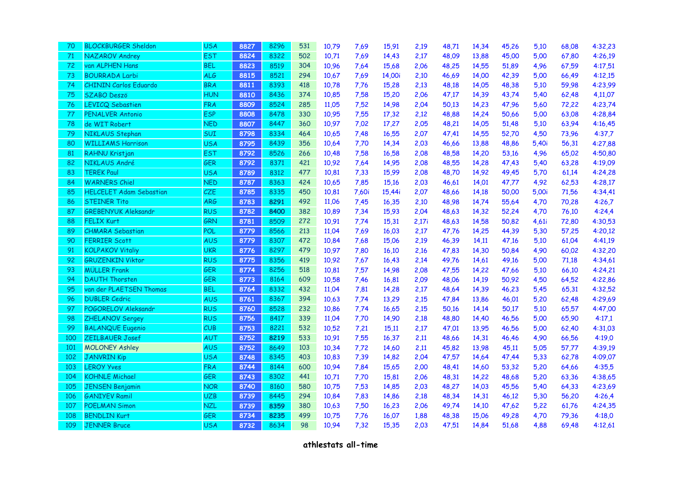| 70  | <b>BLOCKBURGER Sheldon</b>     | <b>USA</b> | 8827 | 8296 | 531 | 10,79 | 7,69  | 15,91  | 2,19  | 48,71 | 14,34 | 45,26 | 5,10  | 68,08 | 4:32,23 |
|-----|--------------------------------|------------|------|------|-----|-------|-------|--------|-------|-------|-------|-------|-------|-------|---------|
| 71  | NAZAROV Andrey                 | <b>EST</b> | 8824 | 8322 | 502 | 10,71 | 7,69  | 14,43  | 2,17  | 48,09 | 13,88 | 45,00 | 5,00  | 67,80 | 4:26,19 |
| 72  | van ALPHEN Hans                | <b>BEL</b> | 8823 | 8519 | 304 | 10,96 | 7,64  | 15,68  | 2,06  | 48,25 | 14,55 | 51,89 | 4,96  | 67,59 | 4:17,51 |
| 73  | <b>BOURRADA Larbi</b>          | <b>ALG</b> | 8815 | 8521 | 294 | 10,67 | 7,69  | 14,00i | 2,10  | 46,69 | 14,00 | 42,39 | 5,00  | 66,49 | 4:12,15 |
| 74  | <b>CHININ Carlos Eduardo</b>   | <b>BRA</b> | 8811 | 8393 | 418 | 10,78 | 7,76  | 15,28  | 2,13  | 48,18 | 14,05 | 48,38 | 5,10  | 59,98 | 4:23,99 |
| 75  | <b>SZABO Deszö</b>             | <b>HUN</b> | 8810 | 8436 | 374 | 10,85 | 7,58  | 15,20  | 2,06  | 47,17 | 14,39 | 43,74 | 5,40  | 62,48 | 4,11,07 |
| 76  | <b>LEVICQ Sebastien</b>        | <b>FRA</b> | 8809 | 8524 | 285 | 11,05 | 7,52  | 14,98  | 2,04  | 50,13 | 14,23 | 47,96 | 5,60  | 72,22 | 4:23,74 |
| 77  | PENALVER Antonio               | <b>ESP</b> | 8808 | 8478 | 330 | 10,95 | 7,55  | 17,32  | 2,12  | 48,88 | 14,24 | 50,66 | 5,00  | 63,08 | 4:28,84 |
| 78  | de WIT Robert                  | <b>NED</b> | 8807 | 8447 | 360 | 10,97 | 7,02  | 17,27  | 2,05  | 48,21 | 14,05 | 51,48 | 5,10  | 63,94 | 4:16,45 |
| 79  | NIKLAUS Stephan                | SUI        | 8798 | 8334 | 464 | 10,65 | 7,48  | 16,55  | 2,07  | 47,41 | 14,55 | 52,70 | 4,50  | 73,96 | 4:37,7  |
| 80  | <b>WILLIAMS Harrison</b>       | <b>USA</b> | 8795 | 8439 | 356 | 10,64 | 7,70  | 14,34  | 2,03  | 46,66 | 13,88 | 48,86 | 5,40i | 56,31 | 4:27,88 |
| 81  | RAHNU Kristjan                 | <b>EST</b> | 8792 | 8526 | 266 | 10,48 | 7,58  | 16,58  | 2,08  | 48,58 | 14,20 | 53,16 | 4,96  | 65,02 | 4:50,80 |
| 82  | NIKLAUS André                  | GER        | 8792 | 8371 | 421 | 10,92 | 7,64  | 14,95  | 2,08  | 48,55 | 14,28 | 47,43 | 5,40  | 63,28 | 4:19,09 |
| 83  | <b>TEREK Paul</b>              | <b>USA</b> | 8789 | 8312 | 477 | 10,81 | 7,33  | 15,99  | 2,08  | 48,70 | 14,92 | 49,45 | 5,70  | 61,14 | 4:24,28 |
| 84  | <b>WARNERS Chiel</b>           | <b>NED</b> | 8787 | 8363 | 424 | 10,65 | 7,85  | 15,16  | 2,03  | 46,61 | 14,01 | 47,77 | 4,92  | 62,53 | 4:28,17 |
| 85  | <b>HELCELET Adam Sebastian</b> | CZE        | 8785 | 8335 | 450 | 10,81 | 7,60i | 15,44i | 2,07  | 48,66 | 14,18 | 50,00 | 5,00i | 71,56 | 4:34,41 |
| 86  | <b>STEINER Tito</b>            | <b>ARG</b> | 8783 | 8291 | 492 | 11,06 | 7,45  | 16,35  | 2,10  | 48,98 | 14,74 | 55,64 | 4,70  | 70,28 | 4:26,7  |
| 87  | GREBENYUK Aleksandr            | <b>RUS</b> | 8782 | 8400 | 382 | 10,89 | 7,34  | 15,93  | 2,04  | 48,63 | 14,32 | 52,24 | 4,70  | 76,10 | 4:24,4  |
| 88  | <b>FELIX Kurt</b>              | GRN        | 8781 | 8509 | 272 | 10,91 | 7,74  | 15,31  | 2,17i | 48,63 | 14,58 | 50,82 | 4,61i | 72,80 | 4:30,53 |
| 89  | <b>CHMARA Sebastian</b>        | <b>POL</b> | 8779 | 8566 | 213 | 11,04 | 7,69  | 16,03  | 2,17  | 47,76 | 14,25 | 44,39 | 5,30  | 57,25 | 4:20,12 |
| 90  | <b>FERRIER Scott</b>           | <b>AUS</b> | 8779 | 8307 | 472 | 10,84 | 7,68  | 15,06  | 2,19  | 46,39 | 14,11 | 47,16 | 5,10  | 61,04 | 4:41,19 |
| 91  | <b>KOLPAKOV Vitaliy</b>        | <b>UKR</b> | 8776 | 8297 | 479 | 10,97 | 7,80  | 16,10  | 2,16  | 47,83 | 14,30 | 50,84 | 4,90  | 60,02 | 4:32,20 |
| 92  | <b>GRUZENKIN Viktor</b>        | <b>RUS</b> | 8775 | 8356 | 419 | 10,92 | 7,67  | 16,43  | 2,14  | 49,76 | 14,61 | 49,16 | 5,00  | 71,18 | 4:34,61 |
| 93  | <b>MÜLLER Frank</b>            | GER        | 8774 | 8256 | 518 | 10,81 | 7,57  | 14,98  | 2,08  | 47,55 | 14,22 | 47,66 | 5,10  | 66,10 | 4:24,21 |
| 94  | <b>DAUTH Thorsten</b>          | <b>GER</b> | 8773 | 8164 | 609 | 10,58 | 7,46  | 16,81  | 2,09  | 48,06 | 14,19 | 50,92 | 4,50  | 64,52 | 4:22,86 |
| 95  | van der PLAETSEN Thomas        | <b>BEL</b> | 8764 | 8332 | 432 | 11,04 | 7,81  | 14,28  | 2,17  | 48,64 | 14,39 | 46,23 | 5,45  | 65,31 | 4:32,52 |
| 96  | <b>DUBLER Cedric</b>           | <b>AUS</b> | 8761 | 8367 | 394 | 10,63 | 7,74  | 13,29  | 2,15  | 47,84 | 13,86 | 46,01 | 5,20  | 62,48 | 4:29,69 |
| 97  | POGORELOV Aleksandr            | <b>RUS</b> | 8760 | 8528 | 232 | 10,86 | 7,74  | 16,65  | 2,15  | 50,16 | 14,14 | 50,17 | 5,10  | 65,57 | 4:47,00 |
| 98  | ZHELANOV Sergey                | <b>RUS</b> | 8756 | 8417 | 339 | 11,04 | 7,70  | 14,90  | 2,18  | 48,80 | 14,40 | 46,56 | 5,00  | 65,90 | 4:17,1  |
| 99  | <b>BALANQUE Eugenio</b>        | CUB        | 8753 | 8221 | 532 | 10,52 | 7,21  | 15,11  | 2,17  | 47,01 | 13,95 | 46,56 | 5,00  | 62,40 | 4:31,03 |
| 100 | ZEILBAUER Josef                | AUT        | 8752 | 8219 | 533 | 10,91 | 7,55  | 16,37  | 2,11  | 48,66 | 14,31 | 46,46 | 4,90  | 66,56 | 4:19,0  |
| 101 | <b>MOLONEY Ashley</b>          | <b>AUS</b> | 8752 | 8649 | 103 | 10,34 | 7,72  | 14,60  | 2,11  | 45,82 | 13,98 | 45,11 | 5,05  | 57,77 | 4:39,19 |
| 102 | <b>JANVRIN Kip</b>             | <b>USA</b> | 8748 | 8345 | 403 | 10,83 | 7,39  | 14,82  | 2,04  | 47,57 | 14,64 | 47,44 | 5,33  | 62,78 | 4:09,07 |
| 103 | <b>LEROY Yves</b>              | <b>FRA</b> | 8744 | 8144 | 600 | 10,94 | 7,84  | 15,65  | 2,00  | 48,41 | 14,60 | 53,32 | 5,20  | 64,66 | 4:35,5  |
| 104 | <b>KOHNLE Michael</b>          | GER        | 8743 | 8302 | 441 | 10,71 | 7,70  | 15,81  | 2,06  | 48,31 | 14,22 | 48,68 | 5,20  | 63,36 | 4:38,65 |
| 105 | <b>JENSEN Benjamin</b>         | <b>NOR</b> | 8740 | 8160 | 580 | 10,75 | 7,53  | 14,85  | 2,03  | 48,27 | 14,03 | 45,56 | 5,40  | 64,33 | 4:23,69 |
| 106 | <b>GANIYEV Ramil</b>           | <b>UZB</b> | 8739 | 8445 | 294 | 10,84 | 7,83  | 14,86  | 2,18  | 48,34 | 14,31 | 46,12 | 5,30  | 56,20 | 4:26,4  |
| 107 | <b>POELMAN Simon</b>           | <b>NZL</b> | 8739 | 8359 | 380 | 10,63 | 7,50  | 16,23  | 2,06  | 49,74 | 14,10 | 47,62 | 5,22  | 61,76 | 4:24,35 |
| 108 | <b>BENDLIN Kurt</b>            | GER        | 8734 | 8235 | 499 | 10,75 | 7,76  | 16,07  | 1,88  | 48,38 | 15,06 | 49,28 | 4,70  | 79,36 | 4:18,0  |
| 109 | <b>JENNER Bruce</b>            | <b>USA</b> | 8732 | 8634 | 98  | 10,94 | 7,32  | 15,35  | 2,03  | 47,51 | 14,84 | 51,68 | 4,88  | 69,48 | 4:12,61 |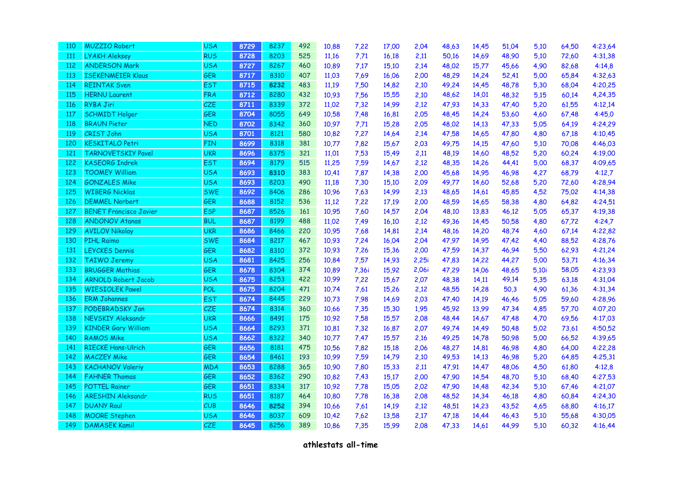| 110        | <b>MUZZIO Robert</b>          | <b>USA</b> | 8729 | 8237 | 492 | 10,88 | 7,22  | 17,00 | 2,04  | 48,63 | 14,45 | 51,04 | 5,10  | 64,50 | 4:23,64 |
|------------|-------------------------------|------------|------|------|-----|-------|-------|-------|-------|-------|-------|-------|-------|-------|---------|
| <b>111</b> | <b>LYAKH Aleksey</b>          | <b>RUS</b> | 8728 | 8203 | 525 | 11,16 | 7,71  | 16,18 | 2,11  | 50,16 | 14,69 | 48,90 | 5,10  | 72,60 | 4:31,38 |
| 112        | <b>ANDERSON Mark</b>          | <b>USA</b> | 8727 | 8267 | 460 | 10,89 | 7,17  | 15,10 | 2,14  | 48,02 | 15,77 | 45,66 | 4,90  | 82,68 | 4:14,8  |
| 113        | <b>ISEKENMEIER Klaus</b>      | GER        | 8717 | 8310 | 407 | 11,03 | 7,69  | 16,06 | 2,00  | 48,29 | 14,24 | 52,41 | 5,00  | 65,84 | 4:32,63 |
| 114        | <b>REINTAK Sven</b>           | <b>EST</b> | 8715 | 8232 | 483 | 11,19 | 7,50  | 14,82 | 2,10  | 49,24 | 14,45 | 48,78 | 5,30  | 68,04 | 4:20,25 |
| 115        | <b>HERNU Laurent</b>          | <b>FRA</b> | 8712 | 8280 | 432 | 10,93 | 7,56  | 15,55 | 2,10  | 48,62 | 14,01 | 48,32 | 5,15  | 60,14 | 4,24,35 |
| 116        | <b>RYBA Jiri</b>              | CZE        | 8711 | 8339 | 372 | 11,02 | 7,32  | 14,99 | 2,12  | 47,93 | 14,33 | 47,40 | 5,20  | 61,55 | 4:12,14 |
| 117        | <b>SCHMIDT Holger</b>         | GER        | 8704 | 8055 | 649 | 10,58 | 7,48  | 16,81 | 2,05  | 48,45 | 14,24 | 53,60 | 4,60  | 67,48 | 4:45,0  |
| 118        | <b>BRAUN Pieter</b>           | <b>NED</b> | 8702 | 8342 | 360 | 10,97 | 7,71  | 15,28 | 2,05  | 48,02 | 14,13 | 47,33 | 5,05  | 64,19 | 4:24,29 |
| 119        | <b>CRIST John</b>             | <b>USA</b> | 8701 | 8121 | 580 | 10,82 | 7,27  | 14,64 | 2,14  | 47,58 | 14,65 | 47,80 | 4,80  | 67,18 | 4:10,45 |
| 120        | <b>KESKITALO Petri</b>        | FIN        | 8699 | 8318 | 381 | 10,77 | 7,82  | 15,67 | 2,03  | 49,75 | 14,15 | 47,60 | 5,10  | 70,08 | 4:46,03 |
| 121        | <b>TARNOVETSKIY Pavel</b>     | <b>UKR</b> | 8696 | 8375 | 321 | 11,01 | 7,53  | 15,49 | 2,11  | 48,19 | 14,60 | 48,52 | 5,20  | 60,24 | 4:19,00 |
| 122        | <b>KASEORG Indrek</b>         | <b>EST</b> | 8694 | 8179 | 515 | 11,25 | 7,59  | 14,67 | 2,12  | 48,35 | 14,26 | 44,41 | 5,00  | 68,37 | 4:09,65 |
| 123        | <b>TOOMEY William</b>         | <b>USA</b> | 8693 | 8310 | 383 | 10,41 | 7,87  | 14,38 | 2,00  | 45,68 | 14,95 | 46,98 | 4,27  | 68,79 | 4:12,7  |
| 124        | <b>GONZALES Mike</b>          | <b>USA</b> | 8693 | 8203 | 490 | 11,18 | 7,30  | 15,10 | 2,09  | 49,77 | 14,60 | 52,68 | 5,20  | 72,60 | 4:28,94 |
| 125        | <b>WIBERG Nicklas</b>         | <b>SWE</b> | 8692 | 8406 | 286 | 10,96 | 7,63  | 14,99 | 2,13  | 48,65 | 14,61 | 45,85 | 4,52  | 75,02 | 4:14,38 |
| 126        | <b>DEMMEL Norbert</b>         | <b>GER</b> | 8688 | 8152 | 536 | 11,12 | 7,22  | 17,19 | 2,00  | 48,59 | 14,65 | 58,38 | 4,80  | 64,82 | 4:24,51 |
| 127        | <b>BENET Francisco Javier</b> | <b>ESP</b> | 8687 | 8526 | 161 | 10,95 | 7,60  | 14,57 | 2,04  | 48,10 | 13,83 | 46,12 | 5,05  | 65,37 | 4:19,38 |
| 128        | <b>ANDONOV Atanas</b>         | <b>BUL</b> | 8687 | 8199 | 488 | 11,02 | 7,49  | 16,10 | 2,12  | 49,36 | 14,45 | 50,58 | 4,80  | 67,72 | 4:24,7  |
| 129        | <b>AVILOV Nikolay</b>         | <b>UKR</b> | 8686 | 8466 | 220 | 10,95 | 7,68  | 14,81 | 2,14  | 48,16 | 14,20 | 48,74 | 4,60  | 67,14 | 4:22,82 |
| 130        | <b>PIHL Raimo</b>             | <b>SWE</b> | 8684 | 8217 | 467 | 10,93 | 7,24  | 16,04 | 2,04  | 47,97 | 14,95 | 47,42 | 4,40  | 88,52 | 4:28,76 |
| 131        | <b>LEYCKES Dennis</b>         | GER        | 8682 | 8310 | 372 | 10,93 | 7,26  | 15,36 | 2,00  | 47,59 | 14,37 | 46,94 | 5,50  | 62,93 | 4:21,24 |
| 132        | <b>TAIWO Jeremy</b>           | <b>USA</b> | 8681 | 8425 | 256 | 10,84 | 7,57  | 14,93 | 2,25i | 47,83 | 14,22 | 44,27 | 5,00  | 53,71 | 4:16,34 |
| 133        | <b>BRUGGER Mathias</b>        | <b>GER</b> | 8678 | 8304 | 374 | 10,89 | 7,36i | 15,92 | 2,06i | 47,29 | 14,06 | 48,65 | 5,10i | 58,05 | 4:23,93 |
| 134        | <b>ARNOLD Robert Jacob</b>    | <b>USA</b> | 8675 | 8253 | 422 | 10,99 | 7,22  | 15,67 | 2,07  | 48,38 | 14,11 | 49,14 | 5,35  | 63,18 | 4:31,04 |
| 135        | <b>WIESIOLEK Pawel</b>        | <b>POL</b> | 8675 | 8204 | 471 | 10,74 | 7,61  | 15,26 | 2,12  | 48,55 | 14,28 | 50,3  | 4,90  | 61,36 | 4:31,34 |
| 136        | <b>ERM Johannes</b>           | <b>EST</b> | 8674 | 8445 | 229 | 10,73 | 7,98  | 14,69 | 2,03  | 47,40 | 14,19 | 46,46 | 5,05  | 59,60 | 4:28,96 |
| 137        | <b>PODEBRADSKY Jan</b>        | CZE        | 8674 | 8314 | 360 | 10,66 | 7,35  | 15,30 | 1,95  | 45,92 | 13,99 | 47,34 | 4,85  | 57,70 | 4:07,20 |
| 138        | <b>NEVSKIY Aleksandr</b>      | <b>UKR</b> | 8666 | 8491 | 175 | 10,92 | 7,58  | 15,57 | 2,08  | 48,44 | 14,67 | 47,48 | 4,70  | 69,56 | 4:17,03 |
| 139        | <b>KINDER Gary William</b>    | <b>USA</b> | 8664 | 8293 | 371 | 10,81 | 7,32  | 16,87 | 2,07  | 49,74 | 14,49 | 50,48 | 5,02  | 73,61 | 4:50,52 |
| 140        | <b>RAMOS Mike</b>             | <b>USA</b> | 8662 | 8322 | 340 | 10,77 | 7,47  | 15,57 | 2,16  | 49,25 | 14,78 | 50,98 | 5,00  | 66,52 | 4:39,65 |
| 141        | <b>RIECKE Hans-Ulrich</b>     | GER        | 8656 | 8181 | 475 | 10,56 | 7,82  | 15,18 | 2,06  | 48,27 | 14,81 | 46,98 | 4,80  | 64,00 | 4:22,28 |
| 142        | <b>MACZEY Mike</b>            | GER        | 8654 | 8461 | 193 | 10,99 | 7,59  | 14,79 | 2,10  | 49,53 | 14,13 | 46,98 | 5,20  | 64,85 | 4:25,31 |
| 143        | <b>KACHANOV Valeriy</b>       | <b>MDA</b> | 8653 | 8288 | 365 | 10,90 | 7,80  | 15,33 | 2,11  | 47,91 | 14,47 | 48,06 | 4,50  | 61,80 | 4:12,8  |
| 144        | <b>FAHNER Thomas</b>          | GER        | 8652 | 8362 | 290 | 10,82 | 7,43  | 15,17 | 2,00  | 47,90 | 14,54 | 48,70 | 5,10  | 68,40 | 4:27,53 |
| 145        | <b>POTTEL Rainer</b>          | <b>GER</b> | 8651 | 8334 | 317 | 10,92 | 7,78  | 15,05 | 2,02  | 47,90 | 14,48 | 42,34 | 5,10  | 67,46 | 4:21,07 |
| 146        | <b>ARESHIN Aleksandr</b>      | <b>RUS</b> | 8651 | 8187 | 464 | 10,80 | 7,78  | 16,38 | 2,08  | 48,52 | 14,34 | 46,18 | 4,80  | 60,84 | 4:24,30 |
| 147        | <b>DUANY Raul</b>             | CUB        | 8646 | 8252 | 394 | 10,66 | 7,61  | 14,19 | 2,12  | 48,51 | 14,23 | 43,52 | 4,65  | 68,80 | 4:16,17 |
| 148        | <b>MOORE</b> Stephen          | <b>USA</b> | 8646 | 8037 | 609 | 10,42 | 7,62  | 13,58 | 2,17  | 47,18 | 14,44 | 46,43 | 5,10  | 55,68 | 4:30,05 |
| 149        | <b>DAMASEK Kamil</b>          | CZE        | 8645 | 8256 | 389 | 10,86 | 7,35  | 15,99 | 2,08  | 47,33 | 14,61 | 44,99 | 5.10  | 60,32 | 4:16,44 |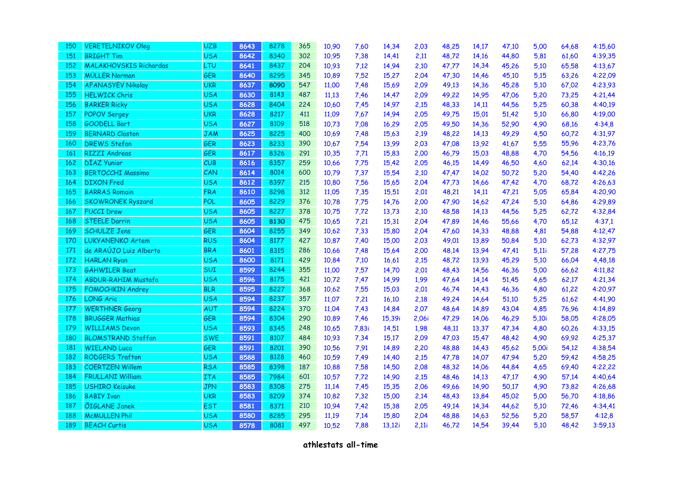| 150 | <b>VERETELNIKOV Oleg</b>      | <b>UZB</b> | 8643 | 8278 | 365 | 10,90 | 7,60  | 14,34  | 2,03  | 48,25 | 14,17 | 47,10 | 5,00  | 64,68 | 4:15,60 |
|-----|-------------------------------|------------|------|------|-----|-------|-------|--------|-------|-------|-------|-------|-------|-------|---------|
| 151 | <b>BRIGHT Tim</b>             | <b>USA</b> | 8642 | 8340 | 302 | 10,95 | 7,38  | 14,41  | 2,11  | 48,72 | 14,16 | 44,80 | 5,81  | 61,60 | 4:39,35 |
| 152 | <b>MALAKHOVSKIS Richardas</b> | LTU        | 8641 | 8437 | 204 | 10,93 | 7,12  | 14,94  | 2,10  | 47,77 | 14,34 | 45,26 | 5,10  | 65,58 | 4:13,67 |
| 153 | <b>MÜLLER Norman</b>          | GER        | 8640 | 8295 | 345 | 10,89 | 7,52  | 15,27  | 2,04  | 47,30 | 14,46 | 45,10 | 5,15  | 63,26 | 4:22,09 |
| 154 | <b>AFANASYEV Nikolay</b>      | <b>UKR</b> | 8637 | 8090 | 547 | 11,00 | 7,48  | 15,69  | 2,09  | 49,13 | 14,36 | 45,28 | 5,10  | 67,02 | 4:23,93 |
| 155 | <b>HELWICK Chris</b>          | <b>USA</b> | 8630 | 8143 | 487 | 11,13 | 7,46  | 14,47  | 2,09  | 49,22 | 14,95 | 47,06 | 5,20  | 73,25 | 4:21,44 |
| 156 | <b>BARKER Ricky</b>           | <b>USA</b> | 8628 | 8404 | 224 | 10,60 | 7,45  | 14,97  | 2,15  | 48,33 | 14,11 | 44,56 | 5,25  | 60,38 | 4:40,19 |
| 157 | <b>POPOV Sergey</b>           | <b>UKR</b> | 8628 | 8217 | 411 | 11,09 | 7,67  | 14,94  | 2,05  | 49,75 | 15,01 | 51,42 | 5,10  | 66,80 | 4:19,00 |
| 158 | <b>GOODELL Bart</b>           | <b>USA</b> | 8627 | 8109 | 518 | 10,73 | 7,08  | 16,29  | 2,05  | 49,50 | 14,36 | 52,90 | 4,90  | 68,16 | 4:34,8  |
| 159 | <b>BERNARD Claston</b>        | <b>JAM</b> | 8625 | 8225 | 400 | 10,69 | 7,48  | 15,63  | 2,19  | 48,22 | 14,13 | 49,29 | 4,50  | 60,72 | 4:31,97 |
| 160 | <b>DREWS Stefan</b>           | <b>GER</b> | 8623 | 8233 | 390 | 10,67 | 7,54  | 13,99  | 2,03  | 47,08 | 13,92 | 41,67 | 5,55  | 55,96 | 4:23,76 |
| 161 | <b>RIZZI Andreas</b>          | <b>GER</b> | 8617 | 8326 | 291 | 10,35 | 7,71  | 15,83  | 2,00  | 46,79 | 15,03 | 48,88 | 4,70  | 54,56 | 4:16,19 |
| 162 | DÍAZ Yunior                   | CUB        | 8616 | 8357 | 259 | 10,66 | 7,75  | 15,42  | 2,05  | 46,15 | 14,49 | 46,50 | 4,60  | 62,14 | 4:30,16 |
| 163 | <b>BERTOCCHI Massimo</b>      | CAN        | 8614 | 8014 | 600 | 10,79 | 7,37  | 15,54  | 2,10  | 47,47 | 14,02 | 50,72 | 5,20  | 54,40 | 4:42,26 |
| 164 | <b>DIXON</b> Fred             | <b>USA</b> | 8612 | 8397 | 215 | 10,80 | 7,56  | 15,65  | 2,04  | 47,73 | 14,66 | 47,42 | 4,70  | 68,72 | 4:26,63 |
| 165 | <b>BARRAS Romain</b>          | <b>FRA</b> | 8610 | 8298 | 312 | 11,05 | 7,35  | 15,51  | 2,01  | 48,21 | 14,11 | 47,21 | 5,05  | 65,84 | 4:20,90 |
| 166 | <b>SKOWRONEK Ryszard</b>      | POL        | 8605 | 8229 | 376 | 10,78 | 7,75  | 14,76  | 2,00  | 47,90 | 14,62 | 47,24 | 5,10  | 64,86 | 4:29,89 |
| 167 | <b>FUCCI Drew</b>             | <b>USA</b> | 8605 | 8227 | 378 | 10,75 | 7,72  | 13,73  | 2,10  | 48,58 | 14,13 | 44,56 | 5,25  | 62,72 | 4:32,84 |
| 168 | <b>STEELE Darrin</b>          | <b>USA</b> | 8605 | 8130 | 475 | 10,65 | 7,21  | 15,31  | 2,04  | 47,89 | 14,46 | 55,66 | 4,70  | 65,12 | 4:37,1  |
| 169 | <b>SCHULZE Jens</b>           | GER        | 8604 | 8255 | 349 | 10,62 | 7,33  | 15,80  | 2,04  | 47,60 | 14,33 | 48,88 | 4,81  | 54,88 | 4:12,47 |
| 170 | <b>LUKYANENKO Artem</b>       | <b>RUS</b> | 8604 | 8177 | 427 | 10,87 | 7,40  | 15,00  | 2,03  | 49,01 | 13,89 | 50,84 | 5,10  | 62,73 | 4:32,97 |
| 171 | de ARAÚJO Luiz Alberto        | <b>BRA</b> | 8601 | 8315 | 286 | 10,66 | 7,48  | 15,64  | 2,00  | 48,14 | 13,94 | 47,41 | 5,11i | 57,28 | 4:27,75 |
| 172 | <b>HARLAN Ryan</b>            | <b>USA</b> | 8600 | 8171 | 429 | 10,84 | 7,10  | 16,61  | 2,15  | 48,72 | 13,93 | 45,29 | 5,10  | 66,04 | 4,48,18 |
| 173 | <b>GÄHWILER Beat</b>          | SUI        | 8599 | 8244 | 355 | 11,00 | 7,57  | 14,70  | 2,01  | 48,43 | 14,56 | 46,36 | 5,00  | 66,62 | 4:11,82 |
| 174 | <b>ABDUR-RAHIM Mustafa</b>    | <b>USA</b> | 8596 | 8175 | 421 | 10,72 | 7,47  | 14,99  | 1,99  | 47,64 | 14,14 | 51,45 | 4,65  | 62,17 | 4:21,34 |
| 175 | <b>FOMOCHKIN Andrey</b>       | <b>BLR</b> | 8595 | 8227 | 368 | 10,62 | 7,55  | 15,03  | 2,01  | 46,74 | 14,43 | 46,36 | 4,80  | 61,22 | 4:20,97 |
| 176 | <b>LONG Aric</b>              | <b>USA</b> | 8594 | 8237 | 357 | 11,07 | 7,21  | 16,10  | 2,18  | 49,24 | 14,64 | 51,10 | 5,25  | 61,62 | 4:41,90 |
| 177 | <b>WERTHNER</b> Georg         | AUT        | 8594 | 8224 | 370 | 11,04 | 7,43  | 14,84  | 2,07  | 48,64 | 14,89 | 43,04 | 4,85  | 76,96 | 4:14,89 |
| 178 | <b>BRUGGER Mathias</b>        | GER        | 8594 | 8304 | 290 | 10,89 | 7,46  | 15,39i | 2,06i | 47,29 | 14,06 | 46,29 | 5,10i | 58,05 | 4:28,05 |
| 179 | <b>WILLIAMS Devon</b>         | <b>USA</b> | 8593 | 8345 | 248 | 10,65 | 7,83i | 14,51  | 1,98  | 48,11 | 13,37 | 47,34 | 4,80  | 60,26 | 4:33,15 |
| 180 | <b>BLOMSTRAND Staffan</b>     | <b>SWE</b> | 8591 | 8107 | 484 | 10,93 | 7,34  | 15,17  | 2,09  | 47,03 | 15,47 | 48,42 | 4,90  | 69,92 | 4:25,37 |
| 181 | <b>WIELAND Luca</b>           | <b>GER</b> | 8591 | 8201 | 390 | 10,56 | 7,91  | 14,89  | 2,20  | 48,88 | 14,43 | 45,62 | 5,00i | 54,12 | 4:38,54 |
| 182 | <b>RODGERS Trafton</b>        | <b>USA</b> | 8588 | 8128 | 460 | 10,59 | 7,49  | 14,40  | 2,15  | 47,78 | 14,07 | 47,94 | 5,20  | 59,42 | 4:58,25 |
| 183 | <b>COERTZEN Willem</b>        | <b>RSA</b> | 8585 | 8398 | 187 | 10,88 | 7,58  | 14,50  | 2,08  | 48,32 | 14,06 | 44,84 | 4,65  | 69,40 | 4:22,22 |
| 184 | <b>FRULLANI William</b>       | <b>ITA</b> | 8585 | 7984 | 601 | 10,57 | 7,72  | 14,90  | 2,15  | 48,46 | 14,13 | 47,17 | 4,90  | 57,14 | 4:40,64 |
| 185 | <b>USHIRO Keisuke</b>         | <b>JPN</b> | 8583 | 8308 | 275 | 11,14 | 7,45  | 15,35  | 2,06  | 49,66 | 14,90 | 50,17 | 4,90  | 73,82 | 4:26,68 |
| 186 | <b>BABIY Ivan</b>             | <b>UKR</b> | 8583 | 8209 | 374 | 10,82 | 7,32  | 15,00  | 2,14  | 48,43 | 13,84 | 45,02 | 5,00  | 56,70 | 4:18,86 |
| 187 | ÕIGLANE Janek                 | <b>EST</b> | 8581 | 8371 | 210 | 10,94 | 7,42  | 15,38  | 2,05  | 49,14 | 14,34 | 44,62 | 5,10  | 72,46 | 4:34,41 |
| 188 | <b>McMULLEN Phil</b>          | <b>USA</b> | 8580 | 8285 | 295 | 11,19 | 7,14  | 15,80  | 2,04  | 48,88 | 14,63 | 52,56 | 5,20  | 58,57 | 4:12,8  |
| 189 | <b>BEACH Curtis</b>           | <b>USA</b> | 8578 | 8081 | 497 | 10,52 | 7,88  | 13,12i | 2,11i | 46,72 | 14,54 | 39,44 | 5,10  | 48,42 | 3:59,13 |